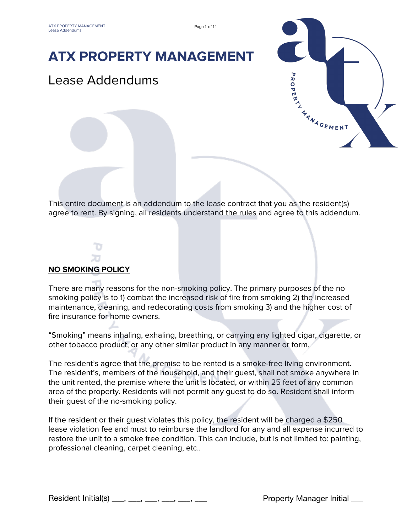## **ATX PROPERTY MANAGEMENT**

### Lease Addendums



This entire document is an addendum to the lease contract that you as the resident(s) agree to rent. By signing, all residents understand the rules and agree to this addendum.

# **NO SMOKING POLICY**

There are many reasons for the non-smoking policy. The primary purposes of the no smoking policy is to 1) combat the increased risk of fire from smoking 2) the increased maintenance, cleaning, and redecorating costs from smoking 3) and the higher cost of fire insurance for home owners.

"Smoking" means inhaling, exhaling, breathing, or carrying any lighted cigar, cigarette, or other tobacco product, or any other similar product in any manner or form.

The resident's agree that the premise to be rented is a smoke-free living environment. The resident's, members of the household, and their guest, shall not smoke anywhere in the unit rented, the premise where the unit is located, or within 25 feet of any common area of the property. Residents will not permit any guest to do so. Resident shall inform their guest of the no-smoking policy.

If the resident or their guest violates this policy, the resident will be charged a \$250 lease violation fee and must to reimburse the landlord for any and all expense incurred to restore the unit to a smoke free condition. This can include, but is not limited to: painting, professional cleaning, carpet cleaning, etc..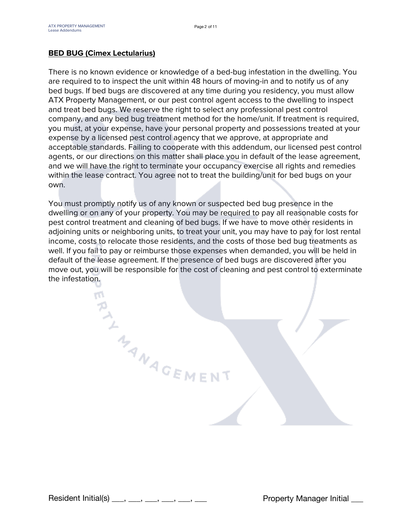#### **BED BUG (Cimex Lectularius)**

There is no known evidence or knowledge of a bed-bug infestation in the dwelling. You are required to to inspect the unit within 48 hours of moving-in and to notify us of any bed bugs. If bed bugs are discovered at any time during you residency, you must allow ATX Property Management, or our pest control agent access to the dwelling to inspect and treat bed bugs. We reserve the right to select any professional pest control company, and any bed bug treatment method for the home/unit. If treatment is required, you must, at your expense, have your personal property and possessions treated at your expense by a licensed pest control agency that we approve, at appropriate and acceptable standards. Failing to cooperate with this addendum, our licensed pest control agents, or our directions on this matter shall place you in default of the lease agreement, and we will have the right to terminate your occupancy exercise all rights and remedies within the lease contract. You agree not to treat the building/unit for bed bugs on your own.

You must promptly notify us of any known or suspected bed bug presence in the dwelling or on any of your property. You may be required to pay all reasonable costs for pest control treatment and cleaning of bed bugs. If we have to move other residents in adjoining units or neighboring units, to treat your unit, you may have to pay for lost rental income, costs to relocate those residents, and the costs of those bed bug treatments as well. If you fail to pay or reimburse those expenses when demanded, you will be held in default of the lease agreement. If the presence of bed bugs are discovered after you move out, you will be responsible for the cost of cleaning and pest control to exterminate the infestation.

Resident Initial(s) \_\_\_, \_\_\_, \_\_\_, \_\_\_, \_\_\_, \_\_\_ Property Manager Initial \_\_\_

THAN AGEMENT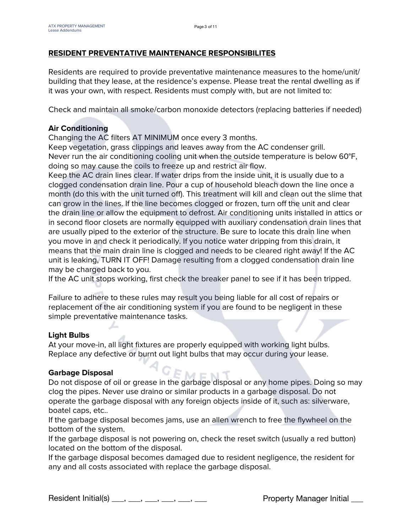#### **RESIDENT PREVENTATIVE MAINTENANCE RESPONSIBILITES**

Residents are required to provide preventative maintenance measures to the home/unit/ building that they lease, at the residence's expense. Please treat the rental dwelling as if it was your own, with respect. Residents must comply with, but are not limited to:

Check and maintain all smoke/carbon monoxide detectors (replacing batteries if needed)

#### **Air Conditioning**

Changing the AC filters AT MINIMUM once every 3 months.

Keep vegetation, grass clippings and leaves away from the AC condenser grill. Never run the air conditioning cooling unit when the outside temperature is below 60°F, doing so may cause the coils to freeze up and restrict air flow.

Keep the AC drain lines clear. If water drips from the inside unit, it is usually due to a clogged condensation drain line. Pour a cup of household bleach down the line once a month (do this with the unit turned off). This treatment will kill and clean out the slime that can grow in the lines. If the line becomes clogged or frozen, turn off the unit and clear the drain line or allow the equipment to defrost. Air conditioning units installed in attics or in second floor closets are normally equipped with auxiliary condensation drain lines that are usually piped to the exterior of the structure. Be sure to locate this drain line when you move in and check it periodically. If you notice water dripping from this drain, it means that the main drain line is clogged and needs to be cleared right away! If the AC unit is leaking, TURN IT OFF! Damage resulting from a clogged condensation drain line may be charged back to you.

If the AC unit stops working, first check the breaker panel to see if it has been tripped.

Failure to adhere to these rules may result you being liable for all cost of repairs or replacement of the air conditioning system if you are found to be negligent in these simple preventative maintenance tasks.

#### **Light Bulbs**

At your move-in, all light fixtures are properly equipped with working light bulbs. Replace any defective or burnt out light bulbs that may occur during your lease.

#### **Garbage Disposal**

Do not dispose of oil or grease in the garbage disposal or any home pipes. Doing so may clog the pipes. Never use draino or similar products in a garbage disposal. Do not operate the garbage disposal with any foreign objects inside of it, such as: silverware, boatel caps, etc..

If the garbage disposal becomes jams, use an allen wrench to free the flywheel on the bottom of the system.

If the garbage disposal is not powering on, check the reset switch (usually a red button) located on the bottom of the disposal.

If the garbage disposal becomes damaged due to resident negligence, the resident for any and all costs associated with replace the garbage disposal.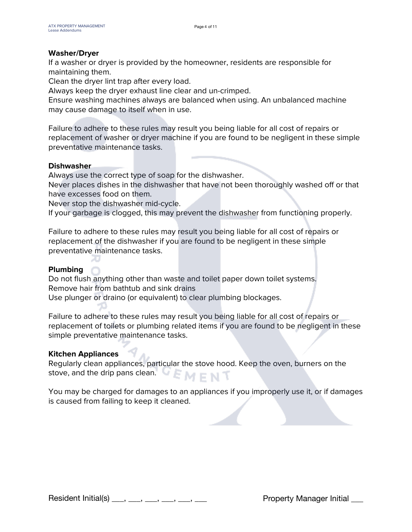#### **Washer/Dryer**

If a washer or dryer is provided by the homeowner, residents are responsible for maintaining them.

Clean the dryer lint trap after every load.

Always keep the dryer exhaust line clear and un-crimped.

Ensure washing machines always are balanced when using. An unbalanced machine may cause damage to itself when in use.

Failure to adhere to these rules may result you being liable for all cost of repairs or replacement of washer or dryer machine if you are found to be negligent in these simple preventative maintenance tasks.

#### **Dishwasher**

Always use the correct type of soap for the dishwasher.

Never places dishes in the dishwasher that have not been thoroughly washed off or that have excesses food on them.

Never stop the dishwasher mid-cycle.

If your garbage is clogged, this may prevent the dishwasher from functioning properly.

Failure to adhere to these rules may result you being liable for all cost of repairs or replacement of the dishwasher if you are found to be negligent in these simple preventative maintenance tasks.

#### **Plumbing**

Do not flush anything other than waste and toilet paper down toilet systems. Remove hair from bathtub and sink drains Use plunger or draino (or equivalent) to clear plumbing blockages.

Failure to adhere to these rules may result you being liable for all cost of repairs or replacement of toilets or plumbing related items if you are found to be negligent in these simple preventative maintenance tasks.

#### **Kitchen Appliances**

Regularly clean appliances, particular the stove hood. Keep the oven, burners on the stove, and the drip pans clean.  $EMENT$ 

You may be charged for damages to an appliances if you improperly use it, or if damages is caused from failing to keep it cleaned.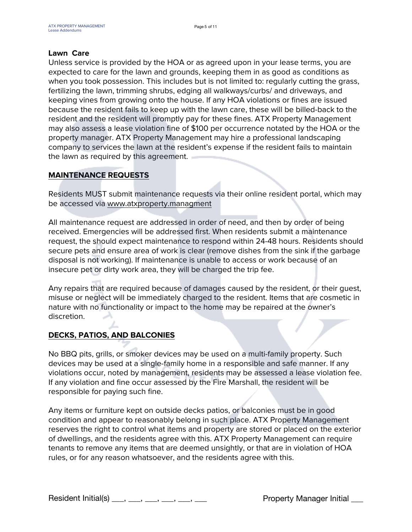#### **Lawn Care**

Unless service is provided by the HOA or as agreed upon in your lease terms, you are expected to care for the lawn and grounds, keeping them in as good as conditions as when you took possession. This includes but is not limited to: regularly cutting the grass, fertilizing the lawn, trimming shrubs, edging all walkways/curbs/ and driveways, and keeping vines from growing onto the house. If any HOA violations or fines are issued because the resident fails to keep up with the lawn care, these will be billed-back to the resident and the resident will promptly pay for these fines. ATX Property Management may also assess a lease violation fine of \$100 per occurrence notated by the HOA or the property manager. ATX Property Management may hire a professional landscaping company to services the lawn at the resident's expense if the resident fails to maintain the lawn as required by this agreement.

#### **MAINTENANCE REQUESTS**

Residents MUST submit maintenance requests via their online resident portal, which may be accessed via [www.atxproperty.managment](http://www.atxproperty.managment)

All maintenance request are addressed in order of need, and then by order of being received. Emergencies will be addressed first. When residents submit a maintenance request, the should expect maintenance to respond within 24-48 hours. Residents should secure pets and ensure area of work is clear (remove dishes from the sink if the garbage disposal is not working). If maintenance is unable to access or work because of an insecure pet or dirty work area, they will be charged the trip fee.

Any repairs that are required because of damages caused by the resident, or their guest, misuse or neglect will be immediately charged to the resident. Items that are cosmetic in nature with no functionality or impact to the home may be repaired at the owner's discretion.

#### **DECKS, PATIOS, AND BALCONIES**

No BBQ pits, grills, or smoker devices may be used on a multi-family property. Such devices may be used at a single-family home in a responsible and safe manner. If any violations occur, noted by management, residents may be assessed a lease violation fee. If any violation and fine occur assessed by the Fire Marshall, the resident will be responsible for paying such fine.

Any items or furniture kept on outside decks patios, or balconies must be in good condition and appear to reasonably belong in such place. ATX Property Management reserves the right to control what items and property are stored or placed on the exterior of dwellings, and the residents agree with this. ATX Property Management can require tenants to remove any items that are deemed unsightly, or that are in violation of HOA rules, or for any reason whatsoever, and the residents agree with this.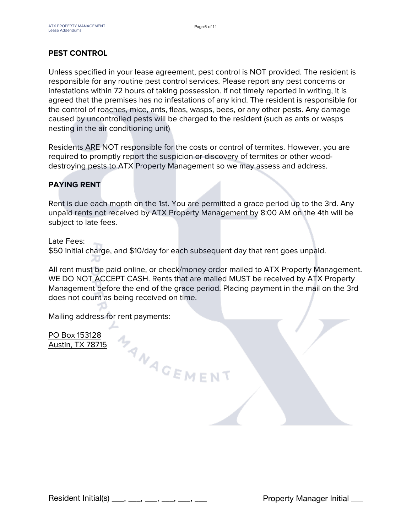#### **PEST CONTROL**

Unless specified in your lease agreement, pest control is NOT provided. The resident is responsible for any routine pest control services. Please report any pest concerns or infestations within 72 hours of taking possession. If not timely reported in writing, it is agreed that the premises has no infestations of any kind. The resident is responsible for the control of roaches, mice, ants, fleas, wasps, bees, or any other pests. Any damage caused by uncontrolled pests will be charged to the resident (such as ants or wasps nesting in the air conditioning unit)

Residents ARE NOT responsible for the costs or control of termites. However, you are required to promptly report the suspicion or discovery of termites or other wooddestroying pests to ATX Property Management so we may assess and address.

#### **PAYING RENT**

Rent is due each month on the 1st. You are permitted a grace period up to the 3rd. Any unpaid rents not received by ATX Property Management by 8:00 AM on the 4th will be subject to late fees.

Late Fees:

\$50 initial charge, and \$10/day for each subsequent day that rent goes unpaid.

MANAGEMENT

All rent must be paid online, or check/money order mailed to ATX Property Management. WE DO NOT ACCEPT CASH. Rents that are mailed MUST be received by ATX Property Management before the end of the grace period. Placing payment in the mail on the 3rd does not count as being received on time.

Mailing address for rent payments:

PO Box 153128 Austin, TX 78715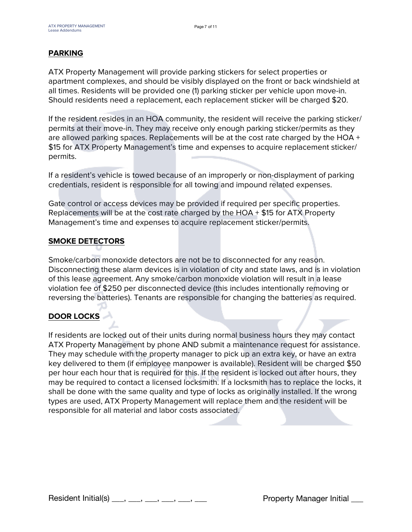#### **PARKING**

ATX Property Management will provide parking stickers for select properties or apartment complexes, and should be visibly displayed on the front or back windshield at all times. Residents will be provided one (1) parking sticker per vehicle upon move-in. Should residents need a replacement, each replacement sticker will be charged \$20.

If the resident resides in an HOA community, the resident will receive the parking sticker/ permits at their move-in. They may receive only enough parking sticker/permits as they are allowed parking spaces. Replacements will be at the cost rate charged by the HOA + \$15 for ATX Property Management's time and expenses to acquire replacement sticker/ permits.

If a resident's vehicle is towed because of an improperly or non-displayment of parking credentials, resident is responsible for all towing and impound related expenses.

Gate control or access devices may be provided if required per specific properties. Replacements will be at the cost rate charged by the HOA + \$15 for ATX Property Management's time and expenses to acquire replacement sticker/permits.

#### **SMOKE DETECTORS**

Smoke/carbon monoxide detectors are not be to disconnected for any reason. Disconnecting these alarm devices is in violation of city and state laws, and is in violation of this lease agreement. Any smoke/carbon monoxide violation will result in a lease violation fee of \$250 per disconnected device (this includes intentionally removing or reversing the batteries). Tenants are responsible for changing the batteries as required.

#### **DOOR LOCKS**

If residents are locked out of their units during normal business hours they may contact ATX Property Management by phone AND submit a maintenance request for assistance. They may schedule with the property manager to pick up an extra key, or have an extra key delivered to them (if employee manpower is available). Resident will be charged \$50 per hour each hour that is required for this. If the resident is locked out after hours, they may be required to contact a licensed locksmith. If a locksmith has to replace the locks, it shall be done with the same quality and type of locks as originally installed. If the wrong types are used, ATX Property Management will replace them and the resident will be responsible for all material and labor costs associated.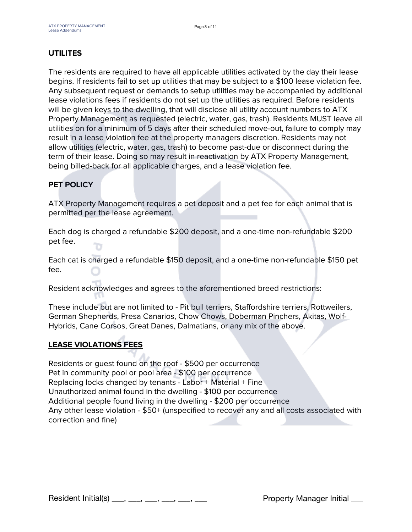#### **UTILITES**

The residents are required to have all applicable utilities activated by the day their lease begins. If residents fail to set up utilities that may be subject to a \$100 lease violation fee. Any subsequent request or demands to setup utilities may be accompanied by additional lease violations fees if residents do not set up the utilities as required. Before residents will be given keys to the dwelling, that will disclose all utility account numbers to ATX Property Management as requested (electric, water, gas, trash). Residents MUST leave all utilities on for a minimum of 5 days after their scheduled move-out, failure to comply may result in a lease violation fee at the property managers discretion. Residents may not allow utilities (electric, water, gas, trash) to become past-due or disconnect during the term of their lease. Doing so may result in reactivation by ATX Property Management, being billed-back for all applicable charges, and a lease violation fee.

#### **PET POLICY**

ATX Property Management requires a pet deposit and a pet fee for each animal that is permitted per the lease agreement.

Each dog is charged a refundable \$200 deposit, and a one-time non-refundable \$200 pet fee.

Each cat is charged a refundable \$150 deposit, and a one-time non-refundable \$150 pet fee.

Resident acknowledges and agrees to the aforementioned breed restrictions:

These include but are not limited to - Pit bull terriers, Staffordshire terriers, Rottweilers, German Shepherds, Presa Canarios, Chow Chows, Doberman Pinchers, Akitas, Wolf-Hybrids, Cane Corsos, Great Danes, Dalmatians, or any mix of the above.

#### **LEASE VIOLATIONS FEES**

Residents or guest found on the roof - \$500 per occurrence Pet in community pool or pool area - \$100 per occurrence Replacing locks changed by tenants - Labor + Material + Fine Unauthorized animal found in the dwelling - \$100 per occurrence Additional people found living in the dwelling - \$200 per occurrence Any other lease violation - \$50+ (unspecified to recover any and all costs associated with correction and fine)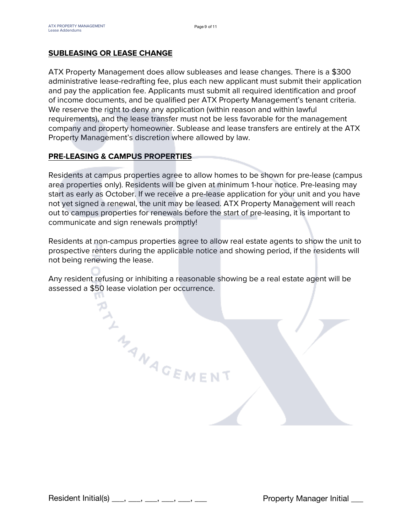#### **SUBLEASING OR LEASE CHANGE**

ATX Property Management does allow subleases and lease changes. There is a \$300 administrative lease-redrafting fee, plus each new applicant must submit their application and pay the application fee. Applicants must submit all required identification and proof of income documents, and be qualified per ATX Property Management's tenant criteria. We reserve the right to deny any application (within reason and within lawful requirements), and the lease transfer must not be less favorable for the management company and property homeowner. Sublease and lease transfers are entirely at the ATX Property Management's discretion where allowed by law.

#### **PRE-LEASING & CAMPUS PROPERTIES**

Residents at campus properties agree to allow homes to be shown for pre-lease (campus area properties only). Residents will be given at minimum 1-hour notice. Pre-leasing may start as early as October. If we receive a pre-lease application for your unit and you have not yet signed a renewal, the unit may be leased. ATX Property Management will reach out to campus properties for renewals before the start of pre-leasing, it is important to communicate and sign renewals promptly!

Residents at non-campus properties agree to allow real estate agents to show the unit to prospective renters during the applicable notice and showing period, if the residents will not being renewing the lease.

Any resident refusing or inhibiting a reasonable showing be a real estate agent will be assessed a \$50 lease violation per occurrence.

THAN AGEMENT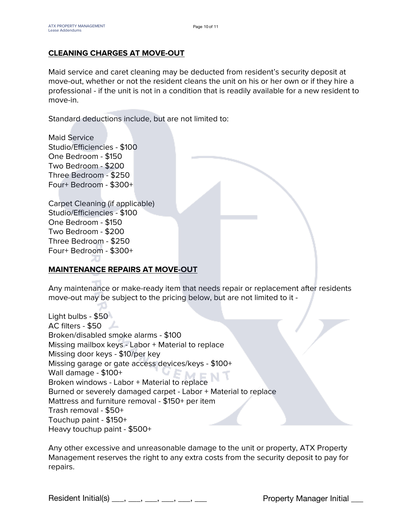#### **CLEANING CHARGES AT MOVE-OUT**

Maid service and caret cleaning may be deducted from resident's security deposit at move-out, whether or not the resident cleans the unit on his or her own or if they hire a professional - if the unit is not in a condition that is readily available for a new resident to move-in.

Standard deductions include, but are not limited to:

Maid Service Studio/Efficiencies - \$100 One Bedroom - \$150 Two Bedroom - \$200 Three Bedroom - \$250 Four+ Bedroom - \$300+

Carpet Cleaning (if applicable) Studio/Efficiencies - \$100 One Bedroom - \$150 Two Bedroom - \$200 Three Bedroom - \$250 Four+ Bedroom - \$300+

#### **MAINTENANCE REPAIRS AT MOVE-OUT**

Any maintenance or make-ready item that needs repair or replacement after residents move-out may be subject to the pricing below, but are not limited to it -

Light bulbs - \$50 AC filters - \$50 Broken/disabled smoke alarms - \$100 Missing mailbox keys - Labor + Material to replace Missing door keys - \$10/per key Missing garage or gate access devices/keys - \$100+ Wall damage - \$100+ Wall damage - \$100+<br>Broken windows - Labor + Material to replace Burned or severely damaged carpet - Labor + Material to replace Mattress and furniture removal - \$150+ per item Trash removal - \$50+ Touchup paint - \$150+ Heavy touchup paint - \$500+

Any other excessive and unreasonable damage to the unit or property, ATX Property Management reserves the right to any extra costs from the security deposit to pay for repairs.